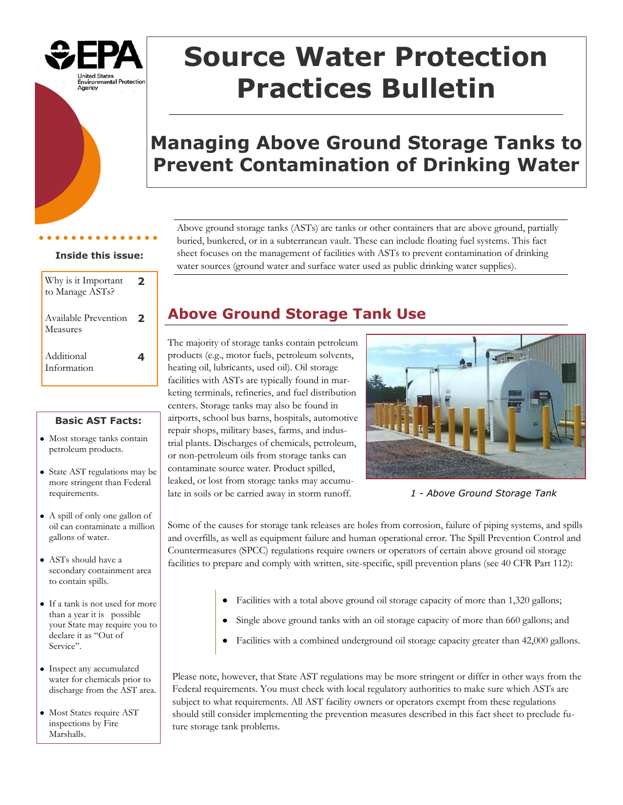

# **Source Water Protection Practices Bulletin**

## **Managing Above Ground Storage Tanks to Prevent Contamination of Drinking Water**

#### **Inside this issue:**

| Why is it Important<br>to Manage ASTs? | 7 |
|----------------------------------------|---|
| Available Prevention<br>Measures       | 7 |
| Additional<br>Information              |   |

#### **Basic AST Facts:**

- Most storage tanks contain petroleum products.
- State AST regulations may be more stringent than Federal requirements.
- A spill of only one gallon of oil can contaminate a million gallons of water.
- ASTs should have a secondary containment area to contain spills.
- If a tank is not used for more than a year it is possible your State may require you to declare it as "Out of Service".
- Inspect any accumulated water for chemicals prior to discharge from the AST area.
- Most States require AST inspections by Fire Marshalls.

Above ground storage tanks (ASTs) are tanks or other containers that are above ground, partially buried, bunkered, or in a subterranean vault. These can include floating fuel systems. This fact sheet focuses on the management of facilities with ASTs to prevent contamination of drinking water sources (ground water and surface water used as public drinking water supplies).

## **Above Ground Storage Tank Use**

The majority of storage tanks contain petroleum products (e.g., motor fuels, petroleum solvents, heating oil, lubricants, used oil). Oil storage facilities with ASTs are typically found in marketing terminals, refineries, and fuel distribution centers. Storage tanks may also be found in airports, school bus barns, hospitals, automotive repair shops, military bases, farms, and industrial plants. Discharges of chemicals, petroleum, or non-petroleum oils from storage tanks can contaminate source water. Product spilled, leaked, or lost from storage tanks may accumulate in soils or be carried away in storm runoff.



*1 - Above Ground Storage Tank*

Some of the causes for storage tank releases are holes from corrosion, failure of piping systems, and spills and overfills, as well as equipment failure and human operational error. The Spill Prevention Control and Countermeasures (SPCC) regulations require owners or operators of certain above ground oil storage facilities to prepare and comply with written, site-specific, spill prevention plans (see 40 CFR Part 112):

- Facilities with a total above ground oil storage capacity of more than 1,320 gallons;
- Single above ground tanks with an oil storage capacity of more than 660 gallons; and
- Facilities with a combined underground oil storage capacity greater than 42,000 gallons.

Please note, however, that State AST regulations may be more stringent or differ in other ways from the Federal requirements. You must check with local regulatory authorities to make sure which ASTs are subject to what requirements. All AST facility owners or operators exempt from these regulations should still consider implementing the prevention measures described in this fact sheet to preclude future storage tank problems.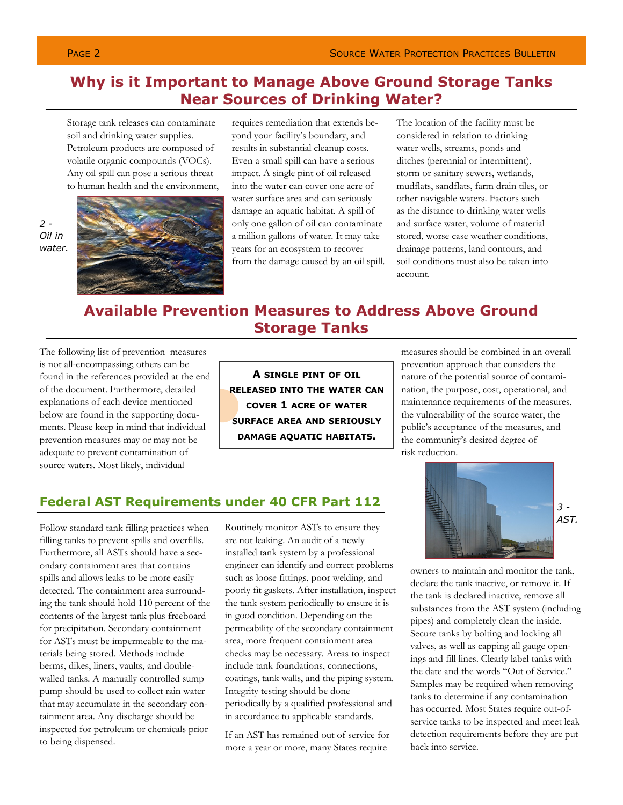## **Why is it Important to Manage Above Ground Storage Tanks Near Sources of Drinking Water?**

Storage tank releases can contaminate soil and drinking water supplies. Petroleum products are composed of volatile organic compounds (VOCs). Any oil spill can pose a serious threat to human health and the environment,



requires remediation that extends beyond your facility's boundary, and results in substantial cleanup costs. Even a small spill can have a serious impact. A single pint of oil released into the water can cover one acre of water surface area and can seriously damage an aquatic habitat. A spill of only one gallon of oil can contaminate a million gallons of water. It may take years for an ecosystem to recover from the damage caused by an oil spill. The location of the facility must be considered in relation to drinking water wells, streams, ponds and ditches (perennial or intermittent), storm or sanitary sewers, wetlands, mudflats, sandflats, farm drain tiles, or other navigable waters. Factors such as the distance to drinking water wells and surface water, volume of material stored, worse case weather conditions, drainage patterns, land contours, and soil conditions must also be taken into account.

## **Available Prevention Measures to Address Above Ground Storage Tanks**

The following list of prevention measures is not all-encompassing; others can be found in the references provided at the end of the document. Furthermore, detailed explanations of each device mentioned below are found in the supporting documents. Please keep in mind that individual prevention measures may or may not be adequate to prevent contamination of source waters. Most likely, individual

**A SINGLE PINT OF OIL RELEASED INTO THE WATER CAN COVER 1 ACRE OF WATER SURFACE AREA AND SERIOUSLY DAMAGE AQUATIC HABITATS.**

measures should be combined in an overall prevention approach that considers the nature of the potential source of contamination, the purpose, cost, operational, and maintenance requirements of the measures, the vulnerability of the source water, the public's acceptance of the measures, and the community's desired degree of risk reduction.

### **Federal AST Requirements under 40 CFR Part 112**

Follow standard tank filling practices when filling tanks to prevent spills and overfills. Furthermore, all ASTs should have a secondary containment area that contains spills and allows leaks to be more easily detected. The containment area surrounding the tank should hold 110 percent of the contents of the largest tank plus freeboard for precipitation. Secondary containment for ASTs must be impermeable to the materials being stored. Methods include berms, dikes, liners, vaults, and doublewalled tanks. A manually controlled sump pump should be used to collect rain water that may accumulate in the secondary containment area. Any discharge should be inspected for petroleum or chemicals prior to being dispensed.

Routinely monitor ASTs to ensure they are not leaking. An audit of a newly installed tank system by a professional engineer can identify and correct problems such as loose fittings, poor welding, and poorly fit gaskets. After installation, inspect the tank system periodically to ensure it is in good condition. Depending on the permeability of the secondary containment area, more frequent containment area checks may be necessary. Areas to inspect include tank foundations, connections, coatings, tank walls, and the piping system. Integrity testing should be done periodically by a qualified professional and in accordance to applicable standards.

If an AST has remained out of service for more a year or more, many States require



owners to maintain and monitor the tank, declare the tank inactive, or remove it. If the tank is declared inactive, remove all substances from the AST system (including pipes) and completely clean the inside. Secure tanks by bolting and locking all valves, as well as capping all gauge openings and fill lines. Clearly label tanks with the date and the words "Out of Service." Samples may be required when removing tanks to determine if any contamination has occurred. Most States require out-ofservice tanks to be inspected and meet leak detection requirements before they are put back into service.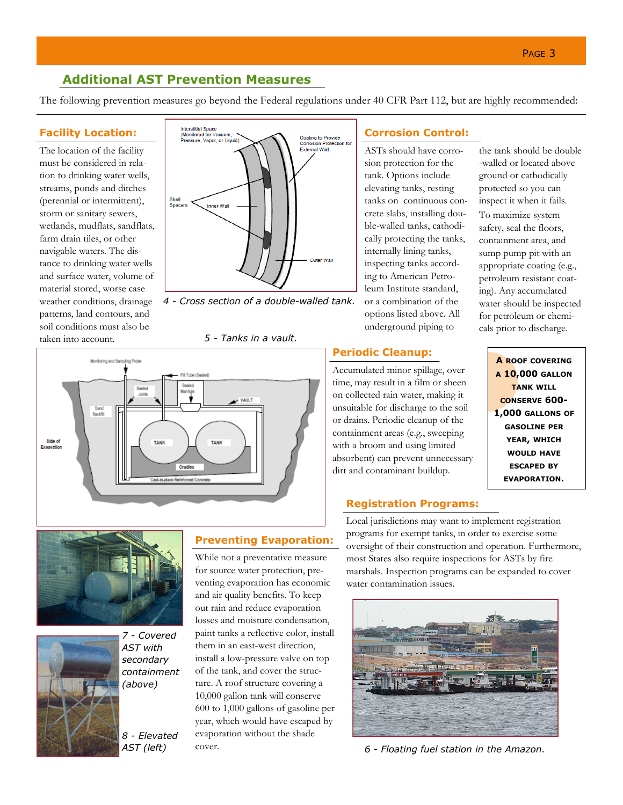### **Additional AST Prevention Measures**

The following prevention measures go beyond the Federal regulations under 40 CFR Part 112, but are highly recommended:

#### **Facility Location:**

The location of the facility must be considered in relation to drinking water wells, streams, ponds and ditches (perennial or intermittent), storm or sanitary sewers, wetlands, mudflats, sandflats, farm drain tiles, or other navigable waters. The distance to drinking water wells and surface water, volume of material stored, worse case weather conditions, drainage patterns, land contours, and soil conditions must also be taken into account.



*4 - Cross section of a double-walled tank.*

*5 - Tanks in a vault.*







*7 - Covered AST with secondary containment (above)*

*8 - Elevated AST (left)* 

## **Preventing Evaporation:**

While not a preventative measure for source water protection, preventing evaporation has economic and air quality benefits. To keep out rain and reduce evaporation losses and moisture condensation, paint tanks a reflective color, install them in an east-west direction, install a low-pressure valve on top of the tank, and cover the structure. A roof structure covering a 10,000 gallon tank will conserve 600 to 1,000 gallons of gasoline per year, which would have escaped by evaporation without the shade cover.

#### **Corrosion Control:**

ASTs should have corrosion protection for the tank. Options include elevating tanks, resting tanks on continuous concrete slabs, installing double-walled tanks, cathodically protecting the tanks, internally lining tanks, inspecting tanks according to American Petroleum Institute standard, or a combination of the options listed above. All underground piping to

#### **Periodic Cleanup:**

Accumulated minor spillage, over time, may result in a film or sheen on collected rain water, making it unsuitable for discharge to the soil or drains. Periodic cleanup of the containment areas (e.g., sweeping with a broom and using limited absorbent) can prevent unnecessary dirt and contaminant buildup.

#### **Registration Programs:**

Local jurisdictions may want to implement registration programs for exempt tanks, in order to exercise some oversight of their construction and operation. Furthermore, most States also require inspections for ASTs by fire marshals. Inspection programs can be expanded to cover water contamination issues.



*6 - Floating fuel station in the Amazon.* 

the tank should be double -walled or located above ground or cathodically protected so you can inspect it when it fails.

To maximize system safety, seal the floors, containment area, and sump pump pit with an appropriate coating (e.g., petroleum resistant coating). Any accumulated water should be inspected for petroleum or chemicals prior to discharge.

> **A ROOF COVERING A 10,000 GALLON TANK WILL CONSERVE 600- 1,000 GALLONS OF GASOLINE PER YEAR, WHICH WOULD HAVE ESCAPED BY EVAPORATION.**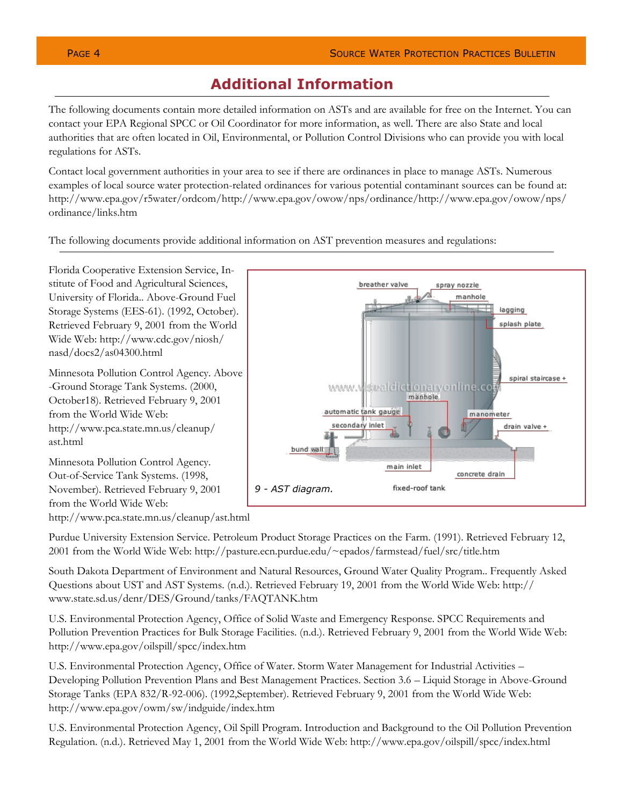spray nozzle

## **Additional Information**

The following documents contain more detailed information on ASTs and are available for free on the Internet. You can contact your EPA Regional SPCC or Oil Coordinator for more information, as well. There are also State and local authorities that are often located in Oil, Environmental, or Pollution Control Divisions who can provide you with local regulations for ASTs.

Contact local government authorities in your area to see if there are ordinances in place to manage ASTs. Numerous examples of local source water protection-related ordinances for various potential contaminant sources can be found at: http://www.epa.gov/r5water/ordcom/http://www.epa.gov/owow/nps/ordinance/http://www.epa.gov/owow/nps/ ordinance/links.htm

The following documents provide additional information on AST prevention measures and regulations:

Florida Cooperative Extension Service, Institute of Food and Agricultural Sciences, University of Florida.. Above-Ground Fuel Storage Systems (EES-61). (1992, October). Retrieved February 9, 2001 from the World Wide Web: http://www.cdc.gov/niosh/ nasd/docs2/as04300.html

Minnesota Pollution Control Agency. Above -Ground Storage Tank Systems. (2000, October18). Retrieved February 9, 2001 from the World Wide Web: http://www.pca.state.mn.us/cleanup/ ast.html

Minnesota Pollution Control Agency. Out-of-Service Tank Systems. (1998, November). Retrieved February 9, 2001 from the World Wide Web: http://www.pca.state.mn.us/cleanup/ast.html



breather valve

Purdue University Extension Service. Petroleum Product Storage Practices on the Farm. (1991). Retrieved February 12, 2001 from the World Wide Web: http://pasture.ecn.purdue.edu/~epados/farmstead/fuel/src/title.htm

South Dakota Department of Environment and Natural Resources, Ground Water Quality Program.. Frequently Asked Questions about UST and AST Systems. (n.d.). Retrieved February 19, 2001 from the World Wide Web: http:// www.state.sd.us/denr/DES/Ground/tanks/FAQTANK.htm

U.S. Environmental Protection Agency, Office of Solid Waste and Emergency Response. SPCC Requirements and Pollution Prevention Practices for Bulk Storage Facilities. (n.d.). Retrieved February 9, 2001 from the World Wide Web: http://www.epa.gov/oilspill/spcc/index.htm

U.S. Environmental Protection Agency, Office of Water. Storm Water Management for Industrial Activities – Developing Pollution Prevention Plans and Best Management Practices. Section 3.6 – Liquid Storage in Above-Ground Storage Tanks (EPA 832/R-92-006). (1992,September). Retrieved February 9, 2001 from the World Wide Web: http://www.epa.gov/owm/sw/indguide/index.htm

U.S. Environmental Protection Agency, Oil Spill Program. Introduction and Background to the Oil Pollution Prevention Regulation. (n.d.). Retrieved May 1, 2001 from the World Wide Web: http://www.epa.gov/oilspill/spcc/index.html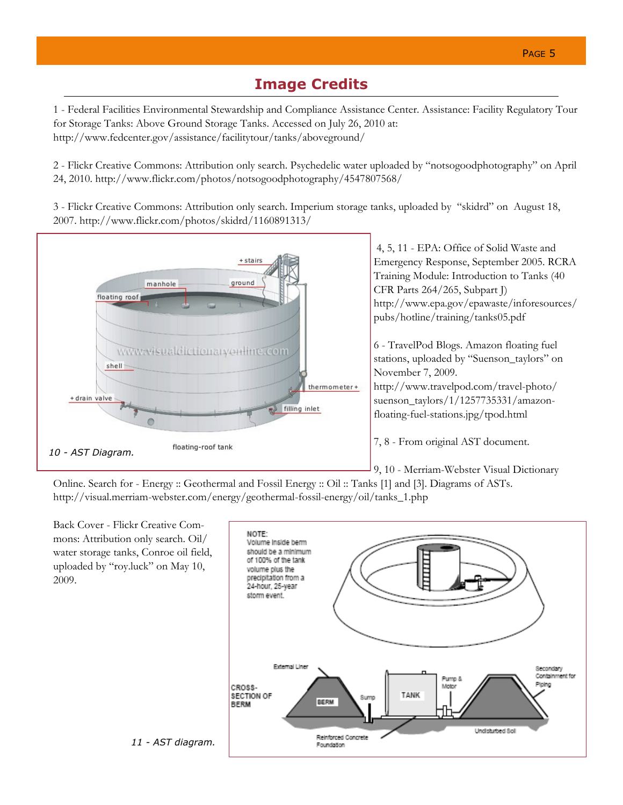## **Image Credits**

1 - Federal Facilities Environmental Stewardship and Compliance Assistance Center. Assistance: Facility Regulatory Tour for Storage Tanks: Above Ground Storage Tanks. Accessed on July 26, 2010 at: http://www.fedcenter.gov/assistance/facilitytour/tanks/aboveground/

2 - Flickr Creative Commons: Attribution only search. Psychedelic water uploaded by "notsogoodphotography" on April 24, 2010. http://www.flickr.com/photos/notsogoodphotography/4547807568/

3 - Flickr Creative Commons: Attribution only search. Imperium storage tanks, uploaded by "skidrd" on August 18, 2007. http://www.flickr.com/photos/skidrd/1160891313/



Online. Search for - Energy :: Geothermal and Fossil Energy :: Oil :: Tanks [1] and [3]. Diagrams of ASTs. http://visual.merriam-webster.com/energy/geothermal-fossil-energy/oil/tanks\_1.php

Back Cover - Flickr Creative Commons: Attribution only search. Oil/ water storage tanks, Conroe oil field, uploaded by "roy.luck" on May 10, 2009.



*11 - AST diagram.*